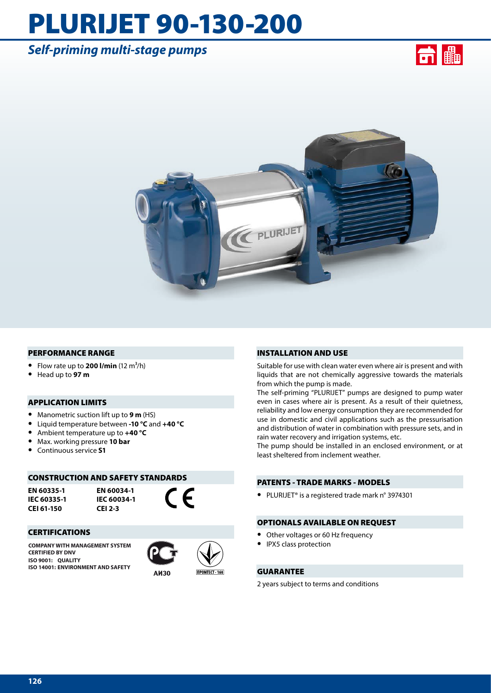# PLURIJET 90-130-200

# *Self-priming multi-stage pumps*





#### PERFORMANCE RANGE

- Flow rate up to **200 l/min**  $(12 \text{ m}^3/\text{h})$
- **•** Head up to **97 m**

### APPLICATION LIMITS

- **•** Manometric suction lift up to **9 m** (HS)
- **•** Liquid temperature between **-10 °C** and **+40 °C**
- **•** Ambient temperature up to **+40 °C**
- **•** Max. working pressure **10 bar**
- **•** Continuous service **S1**

#### CONSTRUCTION AND SAFETY STANDARDS

**EN 60335-1 IEC 60335-1 CEI 61-150**

**EN 60034-1 IEC 60034-1 CEI 2-3**

(  $\epsilon$ 

#### CERTIFICATIONS

**COMPANY WITH MANAGEMENT SYSTEM CERTIFIED BY DNV ISO 9001: QUALITY ISO 14001: ENVIRONMENT AND SAFETY**





# INSTALLATION AND USE

Suitable for use with clean water even where air is present and with liquids that are not chemically aggressive towards the materials from which the pump is made.

The self-priming "PLURIJET" pumps are designed to pump water even in cases where air is present. As a result of their quietness, reliability and low energy consumption they are recommended for use in domestic and civil applications such as the pressurisation and distribution of water in combination with pressure sets, and in rain water recovery and irrigation systems, etc.

The pump should be installed in an enclosed environment, or at least sheltered from inclement weather.

# PATENTS - TRADE MARKS - MODELS

**•** PLURIJET® is a registered trade mark n° 3974301

#### OPTIONALS AVAILABLE ON REQUEST

- **•** Other voltages or 60 Hz frequency
- **•** IPX5 class protection

# GUARANTEE

2 years subject to terms and conditions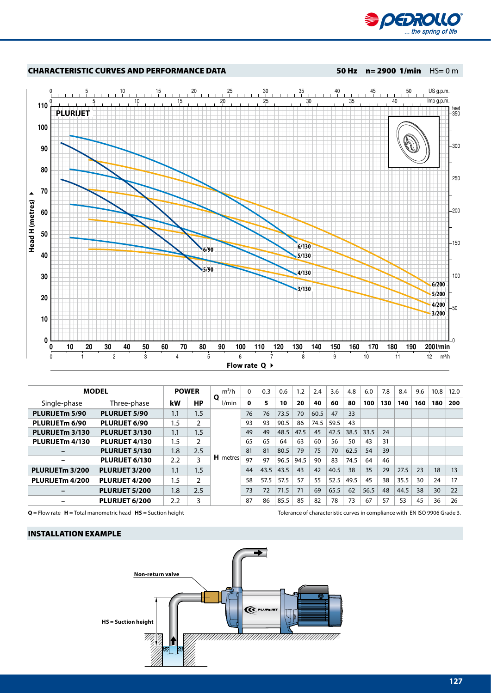



| <b>MODEL</b>    |                      | <b>POWER</b> |     | $m^3/h$    | $\Omega$ | 0.3  | 0.6  | 1.2  | 2.4  | 3.6  | 4.8  | 6.0  | 7.8 | 8.4  | 9.6 | 10.8 | 12.0 |
|-----------------|----------------------|--------------|-----|------------|----------|------|------|------|------|------|------|------|-----|------|-----|------|------|
| Single-phase    | Three-phase          | kW           | НP  | Q<br>l/min | 0        | 5    | 10   | 20   | 40   | 60   | 80   | 100  | 130 | 140  | 160 | 180  | 200  |
| PLURIJETm 5/90  | <b>PLURIJET 5/90</b> | 1.1          | 1.5 | H metres   | 76       | 76   | 73.5 | 70   | 60.5 | 47   | 33   |      |     |      |     |      |      |
| PLURIJETm 6/90  | <b>PLURIJET 6/90</b> | 1.5          | 2   |            | 93       | 93   | 90.5 | 86   | 74.5 | 59.5 | 43   |      |     |      |     |      |      |
| PLURIJETm 3/130 | PLURIJET 3/130       | 1.1          | 1.5 |            | 49       | 49   | 48.5 | 47.5 | 45   | 42.5 | 38.5 | 33.5 | 24  |      |     |      |      |
| PLURIJETm 4/130 | PLURIJET 4/130       | 1.5          | 2   |            | 65       | 65   | 64   | 63   | 60   | 56   | 50   | 43   | 31  |      |     |      |      |
|                 | PLURIJET 5/130       | 1.8          | 2.5 |            | 81       | 81   | 80.5 | 79   | 75   | 70   | 62.5 | 54   | 39  |      |     |      |      |
| -               | PLURIJET 6/130       | 2.2          | 3   |            | 97       | 97   | 96.5 | 94.5 | 90   | 83   | 74.5 | 64   | 46  |      |     |      |      |
| PLURIJETm 3/200 | PLURIJET 3/200       | 1.1          | 1.5 |            | 44       | 43.5 | 43.5 | 43   | 42   | 40.5 | 38   | 35   | 29  | 27.5 | 23  | 18   | 13   |
| PLURIJETm 4/200 | PLURIJET 4/200       | 1.5          | 2   |            | 58       | 57.5 | 57.5 | 57   | 55   | 52.5 | 49.5 | 45   | 38  | 35.5 | 30  | 24   | 17   |
|                 | PLURIJET 5/200       | 1.8          | 2.5 |            | 73       | 72   | 71.5 | 71   | 69   | 65.5 | 62   | 56.5 | 48  | 44.5 | 38  | 30   | 22   |
|                 | PLURIJET 6/200       | 2.2          | 3   |            | 87       | 86   | 85.5 | 85   | 82   | 78   | 73   | 67   | 57  | 53   | 45  | 36   | 26   |

**Q** = Flow rate **H** = Total manometric head **HS** = Suction height Tolerance of characteristic curves in compliance with EN ISO 9906 Grade 3.

# INSTALLATION EXAMPLE

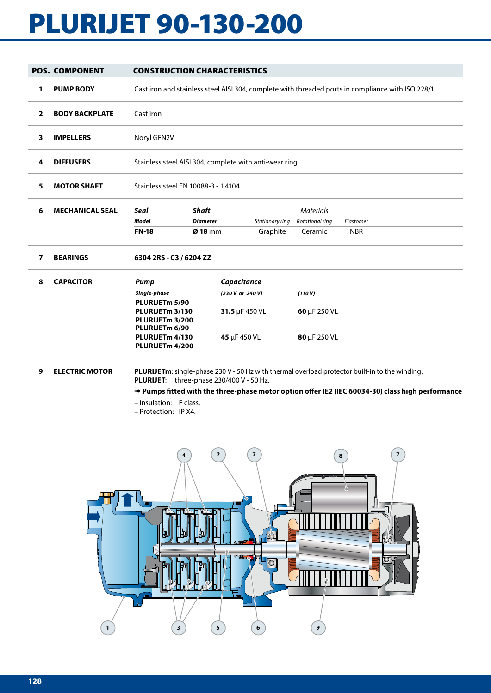# PLURIJET 90-130-200

|                          | <b>POS. COMPONENT</b>  | <b>CONSTRUCTION CHARACTERISTICS</b>                                                                                                  |                                                                                                   |                                                                   |  |                                                |                         |  |  |  |  |  |  |
|--------------------------|------------------------|--------------------------------------------------------------------------------------------------------------------------------------|---------------------------------------------------------------------------------------------------|-------------------------------------------------------------------|--|------------------------------------------------|-------------------------|--|--|--|--|--|--|
| 1                        | <b>PUMP BODY</b>       |                                                                                                                                      | Cast iron and stainless steel AISI 304, complete with threaded ports in compliance with ISO 228/1 |                                                                   |  |                                                |                         |  |  |  |  |  |  |
| $\overline{2}$           | <b>BODY BACKPLATE</b>  | Cast iron                                                                                                                            |                                                                                                   |                                                                   |  |                                                |                         |  |  |  |  |  |  |
| 3                        | <b>IMPELLERS</b>       | Noryl GFN2V                                                                                                                          |                                                                                                   |                                                                   |  |                                                |                         |  |  |  |  |  |  |
| 4                        | <b>DIFFUSERS</b>       | Stainless steel AISI 304, complete with anti-wear ring                                                                               |                                                                                                   |                                                                   |  |                                                |                         |  |  |  |  |  |  |
| 5                        | <b>MOTOR SHAFT</b>     | Stainless steel EN 10088-3 - 1.4104                                                                                                  |                                                                                                   |                                                                   |  |                                                |                         |  |  |  |  |  |  |
| 6                        | <b>MECHANICAL SEAL</b> | <b>Shaft</b><br><b>Seal</b><br>Model<br><b>Diameter</b><br>$Ø$ 18 mm<br><b>FN-18</b>                                                 |                                                                                                   | Stationary ring<br>Graphite                                       |  | <b>Materials</b><br>Rotational ring<br>Ceramic | Elastomer<br><b>NBR</b> |  |  |  |  |  |  |
| $\overline{\phantom{a}}$ | <b>BEARINGS</b>        | 6304 2RS - C3 / 6204 ZZ                                                                                                              |                                                                                                   |                                                                   |  |                                                |                         |  |  |  |  |  |  |
| 8                        | <b>CAPACITOR</b>       | Pump<br>Single-phase<br>PLURIJETm 5/90<br>PLURIJETm 3/130<br>PLURIJETm 3/200<br>PLURIJETm 6/90<br>PLURIJETm 4/130<br>PLURIJETm 4/200 |                                                                                                   | Capacitance<br>(230 V or 240 V)<br>31.5 µF 450 VL<br>45 µF 450 VL |  | (110 V)<br>60 µF 250 VL<br>80 µF 250 VL        |                         |  |  |  |  |  |  |

# **9 ELECTRIC MOTOR PLURIJETm**: single-phase 230 V - 50 Hz with thermal overload protector built-in to the winding. **PLURIJET**: three-phase 230/400 V - 50 Hz.

➠ **Pumps fitted with the three-phase motor option offer IE2 (IEC 60034-30) class high performance**

- Insulation: F class.
- Protection: IP X4.